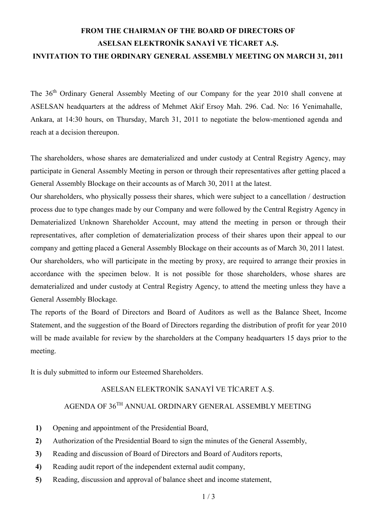# **FROM THE CHAIRMAN OF THE BOARD OF DIRECTORS OF**  ASELSAN ELEKTRONİK SANAYİ VE TİCARET A.Ş. **INVITATION TO THE ORDINARY GENERAL ASSEMBLY MEETING ON MARCH 31, 2011**

The 36<sup>th</sup> Ordinary General Assembly Meeting of our Company for the year 2010 shall convene at ASELSAN headquarters at the address of Mehmet Akif Ersoy Mah. 296. Cad. No: 16 Yenimahalle, Ankara, at 14:30 hours, on Thursday, March 31, 2011 to negotiate the below-mentioned agenda and reach at a decision thereupon.

The shareholders, whose shares are dematerialized and under custody at Central Registry Agency, may participate in General Assembly Meeting in person or through their representatives after getting placed a General Assembly Blockage on their accounts as of March 30, 2011 at the latest.

Our shareholders, who physically possess their shares, which were subject to a cancellation / destruction process due to type changes made by our Company and were followed by the Central Registry Agency in Dematerialized Unknown Shareholder Account, may attend the meeting in person or through their representatives, after completion of dematerialization process of their shares upon their appeal to our company and getting placed a General Assembly Blockage on their accounts as of March 30, 2011 latest. Our shareholders, who will participate in the meeting by proxy, are required to arrange their proxies in accordance with the specimen below. It is not possible for those shareholders, whose shares are dematerialized and under custody at Central Registry Agency, to attend the meeting unless they have a General Assembly Blockage.

The reports of the Board of Directors and Board of Auditors as well as the Balance Sheet, Income Statement, and the suggestion of the Board of Directors regarding the distribution of profit for year 2010 will be made available for review by the shareholders at the Company headquarters 15 days prior to the meeting.

It is duly submitted to inform our Esteemed Shareholders.

### ASELSAN ELEKTRONİK SANAYİ VE TİCARET A.Ş.

# AGENDA OF 36TH ANNUAL ORDINARY GENERAL ASSEMBLY MEETING

- **1)** Opening and appointment of the Presidential Board,
- **2)** Authorization of the Presidential Board to sign the minutes of the General Assembly,
- **3)** Reading and discussion of Board of Directors and Board of Auditors reports,
- **4)** Reading audit report of the independent external audit company,
- **5)** Reading, discussion and approval of balance sheet and income statement,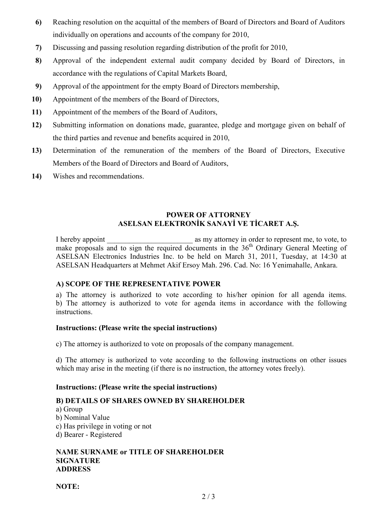- **6)** Reaching resolution on the acquittal of the members of Board of Directors and Board of Auditors individually on operations and accounts of the company for 2010,
- **7)** Discussing and passing resolution regarding distribution of the profit for 2010,
- **8)** Approval of the independent external audit company decided by Board of Directors, in accordance with the regulations of Capital Markets Board,
- **9)** Approval of the appointment for the empty Board of Directors membership,
- **10)** Appointment of the members of the Board of Directors,
- **11)** Appointment of the members of the Board of Auditors,
- **12)** Submitting information on donations made, guarantee, pledge and mortgage given on behalf of the third parties and revenue and benefits acquired in 2010,
- **13)** Determination of the remuneration of the members of the Board of Directors, Executive Members of the Board of Directors and Board of Auditors,
- **14)** Wishes and recommendations.

## **POWER OF ATTORNEY ASELSAN ELEKTRONİK SANAYİ VE TİCARET A.Ş.**

I hereby appoint **I** hereby appoint **EXECUTE:** as my attorney in order to represent me, to vote, to make proposals and to sign the required documents in the 36<sup>th</sup> Ordinary General Meeting of ASELSAN Electronics Industries Inc. to be held on March 31, 2011, Tuesday, at 14:30 at ASELSAN Headquarters at Mehmet Akif Ersoy Mah. 296. Cad. No: 16 Yenimahalle, Ankara.

#### **A) SCOPE OF THE REPRESENTATIVE POWER**

a) The attorney is authorized to vote according to his/her opinion for all agenda items. b) The attorney is authorized to vote for agenda items in accordance with the following instructions.

#### **Instructions: (Please write the special instructions)**

c) The attorney is authorized to vote on proposals of the company management.

d) The attorney is authorized to vote according to the following instructions on other issues which may arise in the meeting (if there is no instruction, the attorney votes freely).

#### **Instructions: (Please write the special instructions)**

#### **B) DETAILS OF SHARES OWNED BY SHAREHOLDER**

a) Group b) Nominal Value c) Has privilege in voting or not d) Bearer - Registered

#### **NAME SURNAME or TITLE OF SHAREHOLDER SIGNATURE ADDRESS**

**NOTE:**